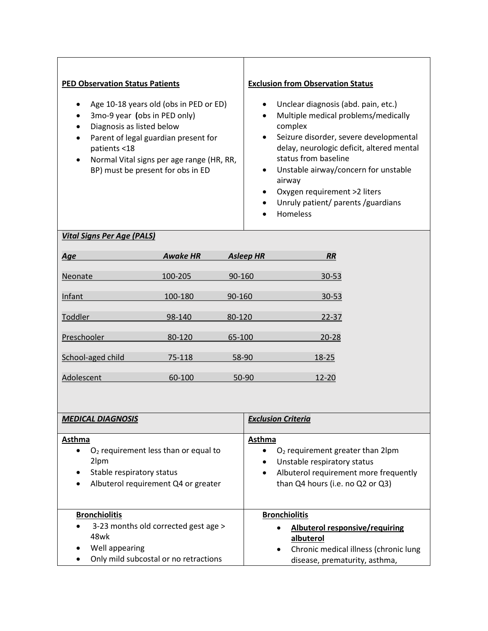| <b>PED Observation Status Patients</b>                                                                                                                                                                                                             | <b>Exclusion from Observation Status</b>                                                                                                                                                                                                                                                                                                                                              |
|----------------------------------------------------------------------------------------------------------------------------------------------------------------------------------------------------------------------------------------------------|---------------------------------------------------------------------------------------------------------------------------------------------------------------------------------------------------------------------------------------------------------------------------------------------------------------------------------------------------------------------------------------|
| Age 10-18 years old (obs in PED or ED)<br>3mo-9 year (obs in PED only)<br>Diagnosis as listed below<br>Parent of legal guardian present for<br>patients <18<br>Normal Vital signs per age range (HR, RR,<br>٠<br>BP) must be present for obs in ED | Unclear diagnosis (abd. pain, etc.)<br>Multiple medical problems/medically<br>$\bullet$<br>complex<br>Seizure disorder, severe developmental<br>$\bullet$<br>delay, neurologic deficit, altered mental<br>status from baseline<br>Unstable airway/concern for unstable<br>$\bullet$<br>airway<br>Oxygen requirement >2 liters<br>Unruly patient/ parents/guardians<br><b>Homeless</b> |
| $1/1 + \alpha$ Cianc Dor Ano (DAIC)                                                                                                                                                                                                                |                                                                                                                                                                                                                                                                                                                                                                                       |

| <b>Vital Signs Per Age (PALS)</b> |  |
|-----------------------------------|--|
|-----------------------------------|--|

| Age               | <b>Awake HR</b> | <b>Asleep HR</b> | RR        |
|-------------------|-----------------|------------------|-----------|
|                   |                 |                  |           |
| <b>Neonate</b>    | 100-205         | 90-160           | $30 - 53$ |
| Infant            | 100-180         | 90-160           | 30-53     |
|                   |                 |                  |           |
| Toddler           | 98-140          | 80-120           | $22 - 37$ |
| Preschooler       | 80-120          | 65-100           | $20 - 28$ |
| School-aged child | 75-118          | 58-90            | 18-25     |
| Adolescent        | 60-100          | 50-90            | $12 - 20$ |
|                   |                 |                  |           |

| <b>MEDICAL DIAGNOSIS</b>                                                                                                                  | <b>Exclusion Criteria</b>                                                                                                                                                          |
|-------------------------------------------------------------------------------------------------------------------------------------------|------------------------------------------------------------------------------------------------------------------------------------------------------------------------------------|
| Asthma<br>$O2$ requirement less than or equal to<br>2lpm<br>Stable respiratory status<br>$\bullet$<br>Albuterol requirement Q4 or greater | Asthma<br>$O2$ requirement greater than 2lpm<br>Unstable respiratory status<br>$\bullet$<br>Albuterol requirement more frequently<br>$\bullet$<br>than Q4 hours (i.e. no Q2 or Q3) |
| <b>Bronchiolitis</b>                                                                                                                      | <b>Bronchiolitis</b>                                                                                                                                                               |
| 3-23 months old corrected gest age ><br>48wk<br>Well appearing<br>٠<br>Only mild subcostal or no retractions                              | Albuterol responsive/requiring<br>albuterol<br>Chronic medical illness (chronic lung<br>٠<br>disease, prematurity, asthma,                                                         |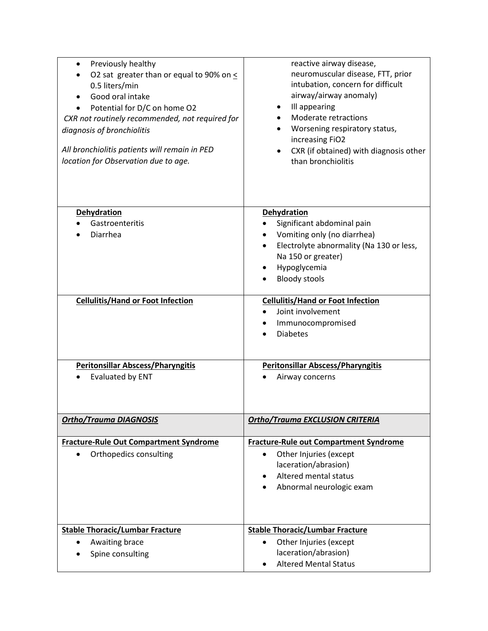| Previously healthy<br>O2 sat greater than or equal to 90% on $\leq$<br>0.5 liters/min<br>Good oral intake<br>Potential for D/C on home O2<br>CXR not routinely recommended, not required for<br>diagnosis of bronchiolitis<br>All bronchiolitis patients will remain in PED<br>location for Observation due to age. | reactive airway disease,<br>neuromuscular disease, FTT, prior<br>intubation, concern for difficult<br>airway/airway anomaly)<br>Ill appearing<br>Moderate retractions<br>Worsening respiratory status,<br>increasing FiO2<br>CXR (if obtained) with diagnosis other<br>than bronchiolitis |
|---------------------------------------------------------------------------------------------------------------------------------------------------------------------------------------------------------------------------------------------------------------------------------------------------------------------|-------------------------------------------------------------------------------------------------------------------------------------------------------------------------------------------------------------------------------------------------------------------------------------------|
| Dehydration                                                                                                                                                                                                                                                                                                         | Dehydration                                                                                                                                                                                                                                                                               |
| Gastroenteritis                                                                                                                                                                                                                                                                                                     | Significant abdominal pain                                                                                                                                                                                                                                                                |
| Diarrhea                                                                                                                                                                                                                                                                                                            | Vomiting only (no diarrhea)                                                                                                                                                                                                                                                               |
|                                                                                                                                                                                                                                                                                                                     | Electrolyte abnormality (Na 130 or less,                                                                                                                                                                                                                                                  |
|                                                                                                                                                                                                                                                                                                                     | Na 150 or greater)                                                                                                                                                                                                                                                                        |
|                                                                                                                                                                                                                                                                                                                     | Hypoglycemia                                                                                                                                                                                                                                                                              |
|                                                                                                                                                                                                                                                                                                                     | <b>Bloody stools</b>                                                                                                                                                                                                                                                                      |
| <b>Cellulitis/Hand or Foot Infection</b>                                                                                                                                                                                                                                                                            | <b>Cellulitis/Hand or Foot Infection</b>                                                                                                                                                                                                                                                  |
|                                                                                                                                                                                                                                                                                                                     | Joint involvement                                                                                                                                                                                                                                                                         |
|                                                                                                                                                                                                                                                                                                                     | Immunocompromised                                                                                                                                                                                                                                                                         |
|                                                                                                                                                                                                                                                                                                                     | <b>Diabetes</b>                                                                                                                                                                                                                                                                           |
|                                                                                                                                                                                                                                                                                                                     |                                                                                                                                                                                                                                                                                           |
| <b>Peritonsillar Abscess/Pharyngitis</b>                                                                                                                                                                                                                                                                            | <b>Peritonsillar Abscess/Pharyngitis</b>                                                                                                                                                                                                                                                  |
| <b>Evaluated by ENT</b>                                                                                                                                                                                                                                                                                             | Airway concerns                                                                                                                                                                                                                                                                           |
|                                                                                                                                                                                                                                                                                                                     |                                                                                                                                                                                                                                                                                           |
|                                                                                                                                                                                                                                                                                                                     |                                                                                                                                                                                                                                                                                           |
| <b>Ortho/Trauma DIAGNOSIS</b>                                                                                                                                                                                                                                                                                       | <b>Ortho/Trauma EXCLUSION CRITERIA</b>                                                                                                                                                                                                                                                    |
| <b>Fracture-Rule Out Compartment Syndrome</b>                                                                                                                                                                                                                                                                       | <b>Fracture-Rule out Compartment Syndrome</b>                                                                                                                                                                                                                                             |
| Orthopedics consulting                                                                                                                                                                                                                                                                                              | Other Injuries (except<br>$\bullet$                                                                                                                                                                                                                                                       |
|                                                                                                                                                                                                                                                                                                                     | laceration/abrasion)                                                                                                                                                                                                                                                                      |
|                                                                                                                                                                                                                                                                                                                     | Altered mental status                                                                                                                                                                                                                                                                     |
|                                                                                                                                                                                                                                                                                                                     | Abnormal neurologic exam                                                                                                                                                                                                                                                                  |
|                                                                                                                                                                                                                                                                                                                     |                                                                                                                                                                                                                                                                                           |
| <b>Stable Thoracic/Lumbar Fracture</b>                                                                                                                                                                                                                                                                              | <b>Stable Thoracic/Lumbar Fracture</b>                                                                                                                                                                                                                                                    |
| Awaiting brace<br>$\bullet$                                                                                                                                                                                                                                                                                         | Other Injuries (except<br>$\bullet$                                                                                                                                                                                                                                                       |
| Spine consulting                                                                                                                                                                                                                                                                                                    | laceration/abrasion)                                                                                                                                                                                                                                                                      |
|                                                                                                                                                                                                                                                                                                                     | <b>Altered Mental Status</b>                                                                                                                                                                                                                                                              |